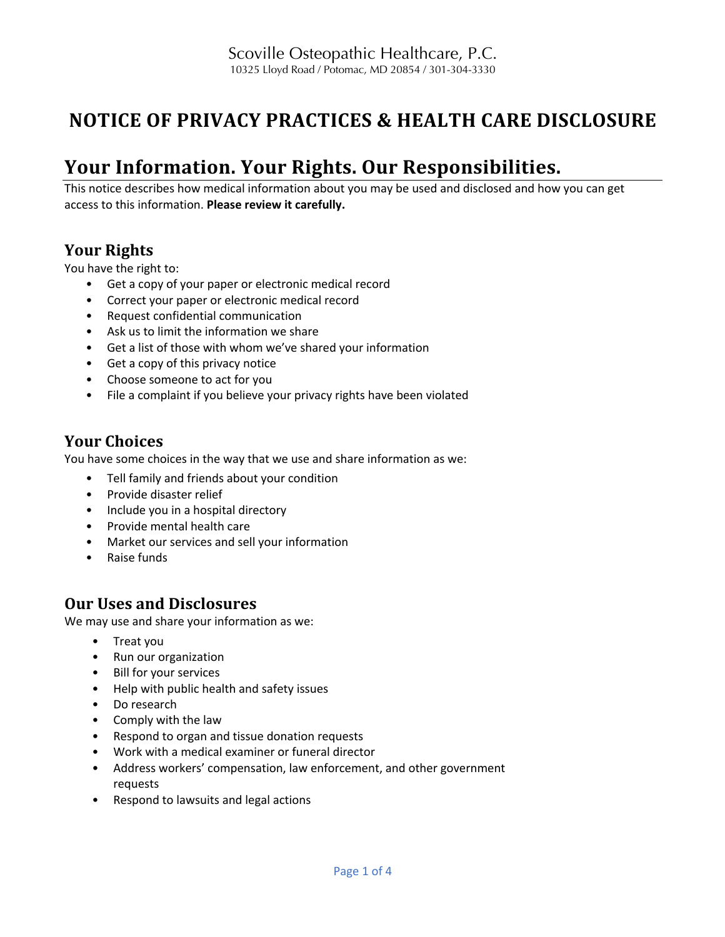# **NOTICE OF PRIVACY PRACTICES & HEALTH CARE DISCLOSURE**

# Your Information. Your Rights. Our Responsibilities.

This notice describes how medical information about you may be used and disclosed and how you can get access to this information. **Please review it carefully.**

## **Your Rights**

You have the right to:

- Get a copy of your paper or electronic medical record
- Correct your paper or electronic medical record
- Request confidential communication
- Ask us to limit the information we share
- Get a list of those with whom we've shared your information
- Get a copy of this privacy notice
- Choose someone to act for you
- File a complaint if you believe your privacy rights have been violated

## **Your Choices**

You have some choices in the way that we use and share information as we:

- Tell family and friends about your condition
- Provide disaster relief
- Include you in a hospital directory
- Provide mental health care
- Market our services and sell your information
- Raise funds

## **Our Uses and Disclosures**

We may use and share your information as we:

- Treat you
- Run our organization
- Bill for your services
- Help with public health and safety issues
- Do research
- Comply with the law
- Respond to organ and tissue donation requests
- Work with a medical examiner or funeral director
- Address workers' compensation, law enforcement, and other government requests
- Respond to lawsuits and legal actions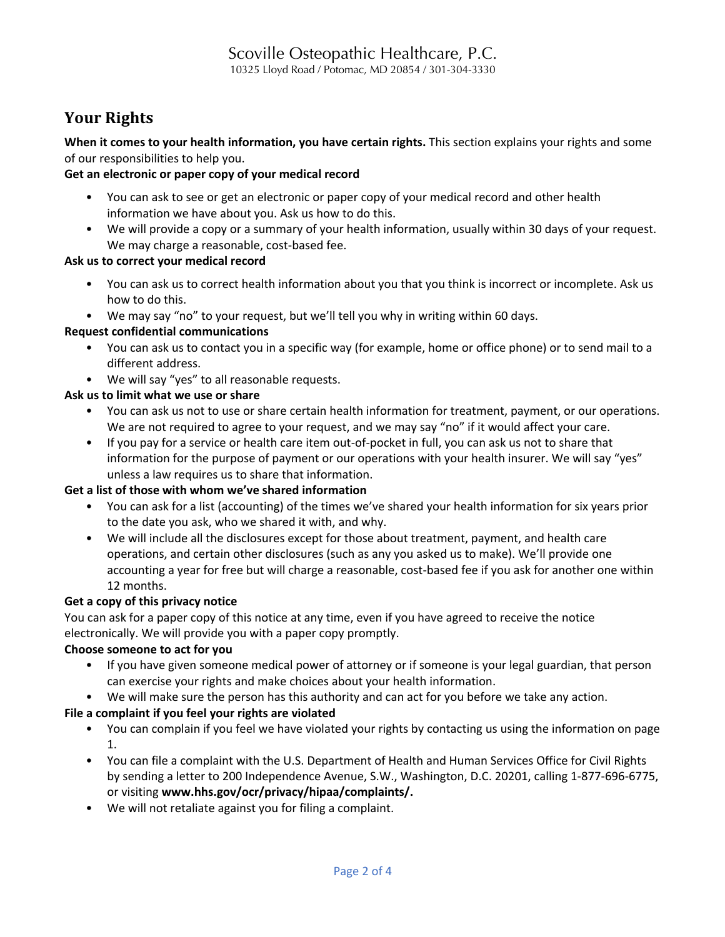## **Your Rights**

**When it comes to your health information, you have certain rights.** This section explains your rights and some of our responsibilities to help you.

#### **Get an electronic or paper copy of your medical record**

- You can ask to see or get an electronic or paper copy of your medical record and other health information we have about you. Ask us how to do this.
- We will provide a copy or a summary of your health information, usually within 30 days of your request. We may charge a reasonable, cost-based fee.

#### **Ask us to correct your medical record**

- You can ask us to correct health information about you that you think is incorrect or incomplete. Ask us how to do this.
- We may say "no" to your request, but we'll tell you why in writing within 60 days.

#### **Request confidential communications**

- You can ask us to contact you in a specific way (for example, home or office phone) or to send mail to a different address.
- We will say "yes" to all reasonable requests.

#### **Ask us to limit what we use or share**

- You can ask us not to use or share certain health information for treatment, payment, or our operations. We are not required to agree to your request, and we may say "no" if it would affect your care.
- If you pay for a service or health care item out-of-pocket in full, you can ask us not to share that information for the purpose of payment or our operations with your health insurer. We will say "yes" unless a law requires us to share that information.

#### **Get a list of those with whom we've shared information**

- You can ask for a list (accounting) of the times we've shared your health information for six years prior to the date you ask, who we shared it with, and why.
- We will include all the disclosures except for those about treatment, payment, and health care operations, and certain other disclosures (such as any you asked us to make). We'll provide one accounting a year for free but will charge a reasonable, cost-based fee if you ask for another one within 12 months.

#### **Get a copy of this privacy notice**

You can ask for a paper copy of this notice at any time, even if you have agreed to receive the notice electronically. We will provide you with a paper copy promptly.

#### **Choose someone to act for you**

- If you have given someone medical power of attorney or if someone is your legal guardian, that person can exercise your rights and make choices about your health information.
- We will make sure the person has this authority and can act for you before we take any action.

#### **File a complaint if you feel your rights are violated**

- You can complain if you feel we have violated your rights by contacting us using the information on page 1.
- You can file a complaint with the U.S. Department of Health and Human Services Office for Civil Rights by sending a letter to 200 Independence Avenue, S.W., Washington, D.C. 20201, calling 1-877-696-6775, or visiting **www.hhs.gov/ocr/privacy/hipaa/complaints/.**
- We will not retaliate against you for filing a complaint.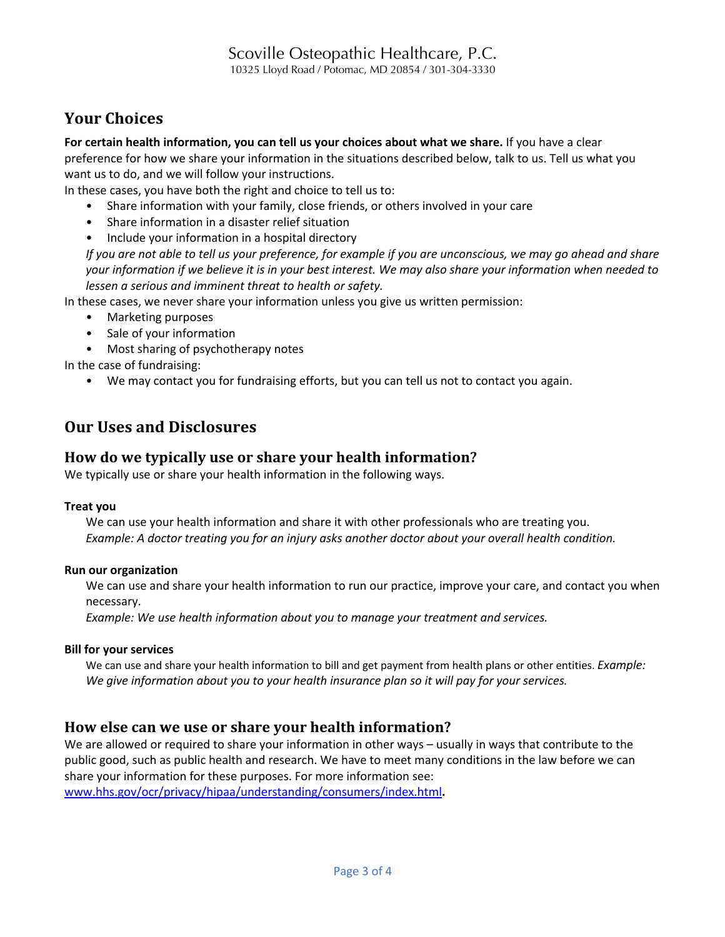## **Your Choices**

**For certain health information, you can tell us your choices about what we share.** If you have a clear preference for how we share your information in the situations described below, talk to us. Tell us what you want us to do, and we will follow your instructions.

In these cases, you have both the right and choice to tell us to:

- Share information with your family, close friends, or others involved in your care
- Share information in a disaster relief situation
- Include your information in a hospital directory

*If you are not able to tell us your preference, for example if you are unconscious, we may go ahead and share your information if we believe it is in your best interest. We may also share your information when needed to lessen a serious and imminent threat to health or safety.*

In these cases, we never share your information unless you give us written permission:

- Marketing purposes
- Sale of your information
- Most sharing of psychotherapy notes

In the case of fundraising:

• We may contact you for fundraising efforts, but you can tell us not to contact you again.

## **Our Uses and Disclosures**

### How do we typically use or share your health information?

We typically use or share your health information in the following ways.

#### **Treat you**

We can use your health information and share it with other professionals who are treating you. *Example: A doctor treating you for an injury asks another doctor about your overall health condition.*

#### **Run our organization**

We can use and share your health information to run our practice, improve your care, and contact you when necessary.

*Example: We use health information about you to manage your treatment and services.* 

#### **Bill for your services**

We can use and share your health information to bill and get payment from health plans or other entities. *Example: We give information about you to your health insurance plan so it will pay for your services.* 

### How else can we use or share your health information?

We are allowed or required to share your information in other ways – usually in ways that contribute to the public good, such as public health and research. We have to meet many conditions in the law before we can share your information for these purposes. For more information see:

www.hhs.gov/ocr/privacy/hipaa/understanding/consumers/index.html**.**